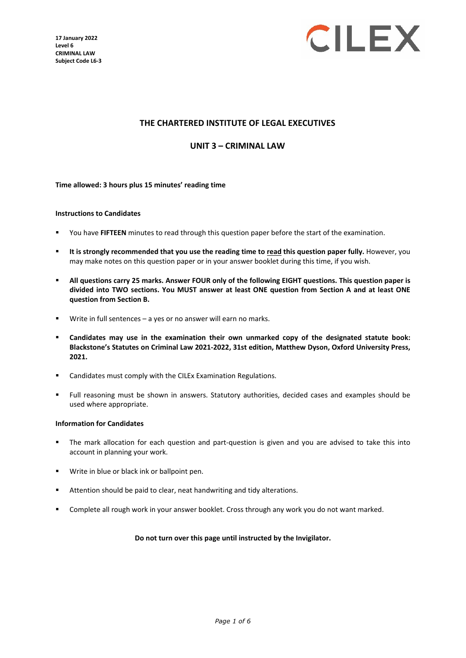**17 January 2022 Level 6 CRIMINAL LAW Subject Code L6-3**



### **THE CHARTERED INSTITUTE OF LEGAL EXECUTIVES**

**UNIT 3 – CRIMINAL LAW**

### **Time allowed: 3 hours plus 15 minutes' reading time**

#### **Instructions to Candidates**

- You have **FIFTEEN** minutes to read through this question paper before the start of the examination.
- **It is strongly recommended that you use the reading time to read this question paper fully.** However, you may make notes on this question paper or in your answer booklet during this time, if you wish.
- **All questions carry 25 marks. Answer FOUR only of the following EIGHT questions. This question paper is divided into TWO sections. You MUST answer at least ONE question from Section A and at least ONE question from Section B.**
- Write in full sentences a yes or no answer will earn no marks.
- **Candidates may use in the examination their own unmarked copy of the designated statute book: Blackstone's Statutes on Criminal Law 2021-2022, 31st edition, Matthew Dyson, Oxford University Press, 2021.**
- **EXEC** Candidates must comply with the CILEx Examination Regulations.
- Full reasoning must be shown in answers. Statutory authorities, decided cases and examples should be used where appropriate.

### **Information for Candidates**

- The mark allocation for each question and part-question is given and you are advised to take this into account in planning your work.
- **Write in blue or black ink or ballpoint pen.**
- Attention should be paid to clear, neat handwriting and tidy alterations.
- **EXP** Complete all rough work in your answer booklet. Cross through any work you do not want marked.

#### **Do not turn over this page until instructed by the Invigilator.**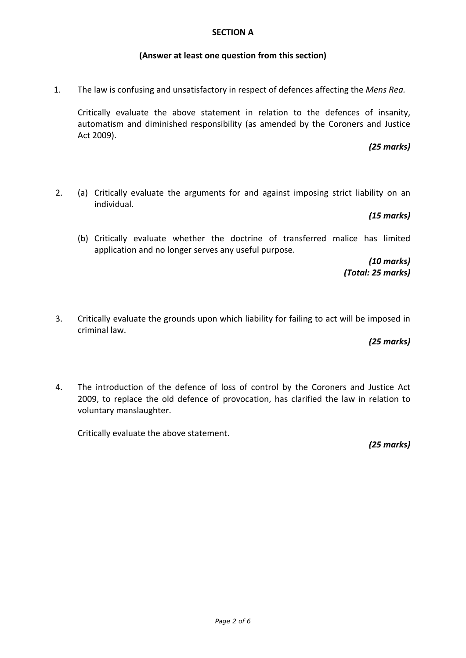### **SECTION A**

## **(Answer at least one question from this section)**

1. The law is confusing and unsatisfactory in respect of defences affecting the *Mens Rea.*

Critically evaluate the above statement in relation to the defences of insanity, automatism and diminished responsibility (as amended by the Coroners and Justice Act 2009).

## *(25 marks)*

2. (a) Critically evaluate the arguments for and against imposing strict liability on an individual.

### *(15 marks)*

(b) Critically evaluate whether the doctrine of transferred malice has limited application and no longer serves any useful purpose.

> *(10 marks) (Total: 25 marks)*

3. Critically evaluate the grounds upon which liability for failing to act will be imposed in criminal law.

*(25 marks)*

4. The introduction of the defence of loss of control by the Coroners and Justice Act 2009, to replace the old defence of provocation, has clarified the law in relation to voluntary manslaughter.

Critically evaluate the above statement.

*(25 marks)*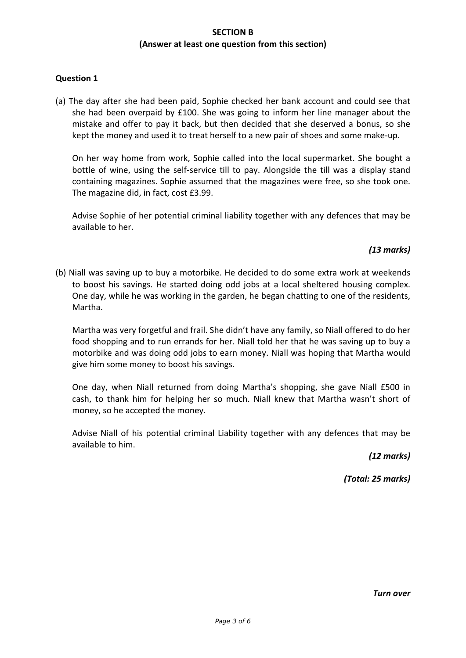# **SECTION B (Answer at least one question from this section)**

# **Question 1**

(a) The day after she had been paid, Sophie checked her bank account and could see that she had been overpaid by £100. She was going to inform her line manager about the mistake and offer to pay it back, but then decided that she deserved a bonus, so she kept the money and used it to treat herself to a new pair of shoes and some make-up.

On her way home from work, Sophie called into the local supermarket. She bought a bottle of wine, using the self-service till to pay. Alongside the till was a display stand containing magazines. Sophie assumed that the magazines were free, so she took one. The magazine did, in fact, cost £3.99.

Advise Sophie of her potential criminal liability together with any defences that may be available to her.

# *(13 marks)*

(b) Niall was saving up to buy a motorbike. He decided to do some extra work at weekends to boost his savings. He started doing odd jobs at a local sheltered housing complex. One day, while he was working in the garden, he began chatting to one of the residents, Martha.

Martha was very forgetful and frail. She didn't have any family, so Niall offered to do her food shopping and to run errands for her. Niall told her that he was saving up to buy a motorbike and was doing odd jobs to earn money. Niall was hoping that Martha would give him some money to boost his savings.

One day, when Niall returned from doing Martha's shopping, she gave Niall £500 in cash, to thank him for helping her so much. Niall knew that Martha wasn't short of money, so he accepted the money.

Advise Niall of his potential criminal Liability together with any defences that may be available to him.

*(12 marks)*

*(Total: 25 marks)*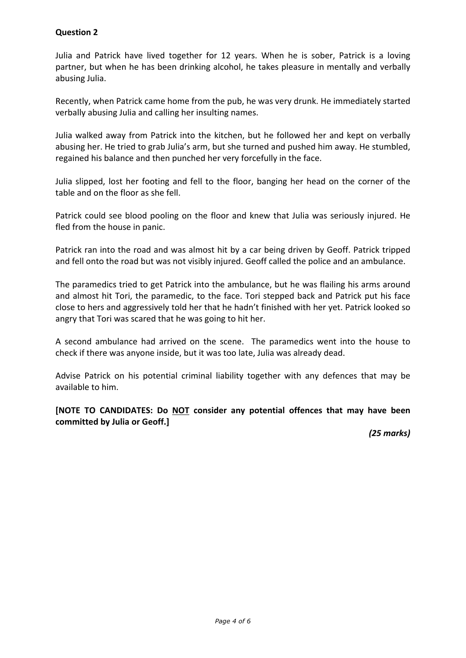# **Question 2**

Julia and Patrick have lived together for 12 years. When he is sober, Patrick is a loving partner, but when he has been drinking alcohol, he takes pleasure in mentally and verbally abusing Julia.

Recently, when Patrick came home from the pub, he was very drunk. He immediately started verbally abusing Julia and calling her insulting names.

Julia walked away from Patrick into the kitchen, but he followed her and kept on verbally abusing her. He tried to grab Julia's arm, but she turned and pushed him away. He stumbled, regained his balance and then punched her very forcefully in the face.

Julia slipped, lost her footing and fell to the floor, banging her head on the corner of the table and on the floor as she fell.

Patrick could see blood pooling on the floor and knew that Julia was seriously injured. He fled from the house in panic.

Patrick ran into the road and was almost hit by a car being driven by Geoff. Patrick tripped and fell onto the road but was not visibly injured. Geoff called the police and an ambulance.

The paramedics tried to get Patrick into the ambulance, but he was flailing his arms around and almost hit Tori, the paramedic, to the face. Tori stepped back and Patrick put his face close to hers and aggressively told her that he hadn't finished with her yet. Patrick looked so angry that Tori was scared that he was going to hit her.

A second ambulance had arrived on the scene. The paramedics went into the house to check if there was anyone inside, but it was too late, Julia was already dead.

Advise Patrick on his potential criminal liability together with any defences that may be available to him.

**[NOTE TO CANDIDATES: Do NOT consider any potential offences that may have been committed by Julia or Geoff.]**

*(25 marks)*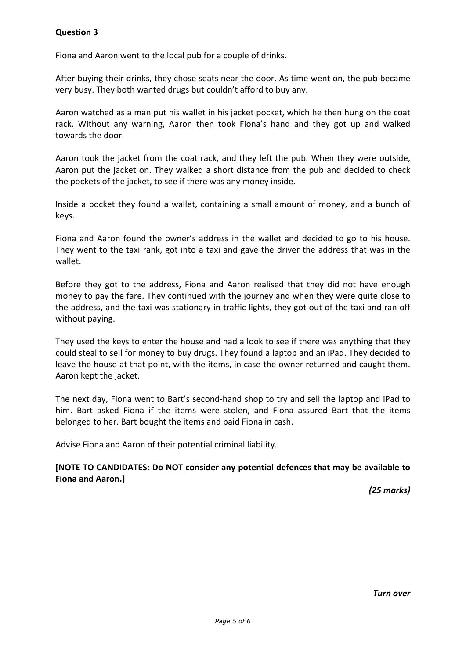Fiona and Aaron went to the local pub for a couple of drinks.

After buying their drinks, they chose seats near the door. As time went on, the pub became very busy. They both wanted drugs but couldn't afford to buy any.

Aaron watched as a man put his wallet in his jacket pocket, which he then hung on the coat rack. Without any warning, Aaron then took Fiona's hand and they got up and walked towards the door.

Aaron took the jacket from the coat rack, and they left the pub. When they were outside, Aaron put the jacket on. They walked a short distance from the pub and decided to check the pockets of the jacket, to see if there was any money inside.

Inside a pocket they found a wallet, containing a small amount of money, and a bunch of keys.

Fiona and Aaron found the owner's address in the wallet and decided to go to his house. They went to the taxi rank, got into a taxi and gave the driver the address that was in the wallet.

Before they got to the address, Fiona and Aaron realised that they did not have enough money to pay the fare. They continued with the journey and when they were quite close to the address, and the taxi was stationary in traffic lights, they got out of the taxi and ran off without paying.

They used the keys to enter the house and had a look to see if there was anything that they could steal to sell for money to buy drugs. They found a laptop and an iPad. They decided to leave the house at that point, with the items, in case the owner returned and caught them. Aaron kept the jacket.

The next day, Fiona went to Bart's second-hand shop to try and sell the laptop and iPad to him. Bart asked Fiona if the items were stolen, and Fiona assured Bart that the items belonged to her. Bart bought the items and paid Fiona in cash.

Advise Fiona and Aaron of their potential criminal liability.

# **[NOTE TO CANDIDATES: Do NOT consider any potential defences that may be available to Fiona and Aaron.]**

*(25 marks)*